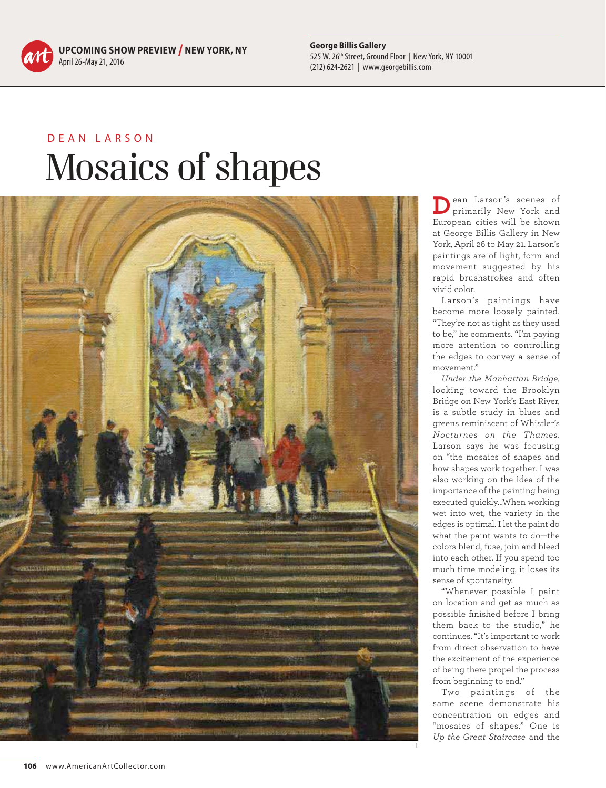**UPCOMING SHOW PREVIEW / NEW YORK, NY** April 26-May 21, 2016

**George Billis Gallery** 525 W. 26th Street, Ground Floor | New York, NY 10001 (212) 624-2621 | www.georgebillis.com

## DEAN LARSON Mosaics of shapes



**D**ean Larson's scenes of primarily New York and European cities will be shown at George Billis Gallery in New York, April 26 to May 21. Larson's paintings are of light, form and movement suggested by his rapid brushstrokes and often vivid color.

Larson's paintings have become more loosely painted. "They're not as tight as they used to be," he comments. "I'm paying more attention to controlling the edges to convey a sense of movement."

*Under the Manhattan Bridge*, looking toward the Brooklyn Bridge on New York's East River, is a subtle study in blues and greens reminiscent of Whistler's *Nocturnes on the Thames*. Larson says he was focusing on "the mosaics of shapes and how shapes work together. I was also working on the idea of the importance of the painting being executed quickly…When working wet into wet, the variety in the edges is optimal. I let the paint do what the paint wants to do—the colors blend, fuse, join and bleed into each other. If you spend too much time modeling, it loses its sense of spontaneity.

"Whenever possible I paint on location and get as much as possible finished before I bring them back to the studio," he continues. "It's important to work from direct observation to have the excitement of the experience of being there propel the process from beginning to end."

Two paintings of the same scene demonstrate his concentration on edges and "mosaics of shapes." One is *Up the Great Staircase* and the